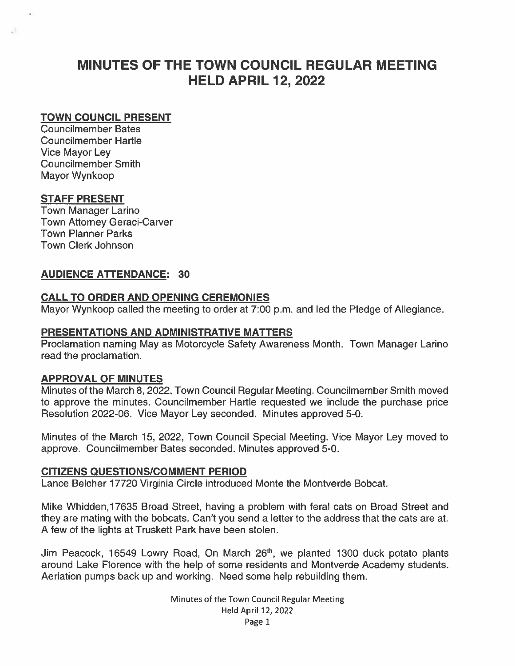# MINUTES OF THE TOWN COUNCIL REGULAR MEETING HELD APRIL 12, 2022

## TOWN COUNCIL PRESENT

Councilmember Bates Councilmember Hartle Vice Mayor Ley Councilmember Smith Mayor Wynkoop

#### STAFF PRESENT

a

Town Manager Larino Town Attorney Geraci-Carver Town Planner Parks Town Clerk Johnson

#### AUDIENCE ATTENDANCE: 30

#### CALL TO ORDER AND OPENING CEREMONIES

Mayor Wynkoop called the meeting to order at 7:00 p.m. and led the Pledge of Allegiance.

#### PRESENTATIONS AND ADMINISTRATIVE MATTERS

Proclamation naming May as Motorcycle Safety Awareness Month. Town Manager Larino read the proclamation.

#### APPROVAL OF MINUTES

Minutes of the March 8, 2022, Town Council Regular Meeting. Councilmember Smith moved to approve the minutes. Councilmember Hartle requested we include the purchase price Resolution 2022-06. Vice Mayor Ley seconded. Minutes approved 5-0.

Minutes of the March 15, 2022, Town Council Special Meeting. Vice Mayor Ley moved to approve. Councilmember Bates seconded. Minutes approved 5-0.

#### CITIZENS QUESTIONS/COMMENT PERIOD

Lance Belcher 17720 Virginia Circle introduced Monte the Montverde Bobcat.

Mike Whidden,17635 Broad Street, having <sup>a</sup> problem with feral cats on Broad Street and they are mating with the bobcats. Can't you send <sup>a</sup> letter to the address that the cats are at. A few of the lights at Truskett Park have been stolen.

Jim Peacock, 16549 Lowry Road, On March 26<sup>th</sup>, we planted 1300 duck potato plants around Lake Florence with the help of some residents and Montverde Academy students. Aeriation pumps back up and working. Need some help rebuilding them.

> Minutes of the Town Council Regular Meeting Held April 12, 2022 Page 1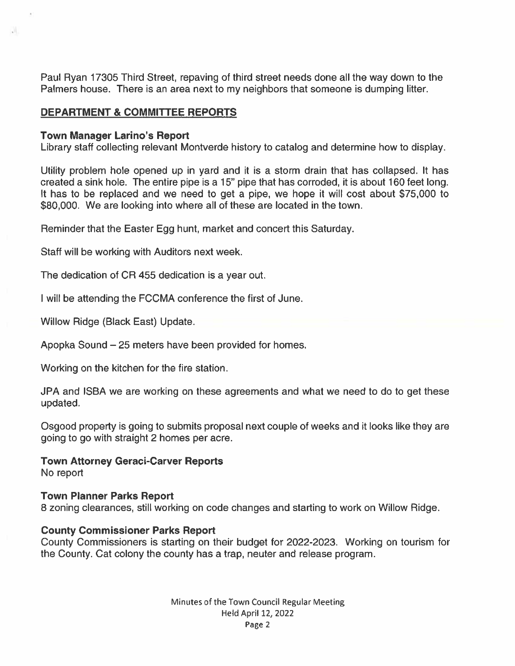Paul Ryan 17305 Third Street, repaving of third street needs done all the way down to the Palmers house. There is an area next to my neighbors that someone is dumping litter.

## DEPARTMENT & COMMITTEE REPORTS

#### Town Manager Larino's Report

u.

Library staff collecting relevant Montverde history to catalog and determine how to display.

Utility problem hole opened up in yard and it is <sup>a</sup> storm drain that has collapsed. It has created <sup>a</sup> sink hole. The entire pipe is <sup>a</sup> 15" pipe that has corroded, it is about 160 feet long. It has to be replaced and we need to ge<sup>t</sup> <sup>a</sup> pipe, we hope it will cost about \$75,000 to \$80,000. We are looking into where all of these are located in the town.

Reminder that the Easter Egg hunt, market and concert this Saturday.

Staff will be working with Auditors next week.

The dedication of CR 455 dedication is <sup>a</sup> year out.

I will be attending the FCCMA conference the first of June.

Willow Ridge (Black East) Update.

Apopka Sound —25 meters have been provided for homes.

Working on the kitchen for the fire station.

JPA and ISBA we are working on these agreements and what we need to do to ge<sup>t</sup> these updated.

Osgood property is going to submits proposal next couple of weeks and it looks like they are going to go with straight 2 homes per acre.

#### Town Attorney Geraci-Carver Reports No repor<sup>t</sup>

#### Town Planner Parks Report

8 zoning clearances, still working on code changes and starting to work on Willow Ridge.

#### County Commissioner Parks Report

County Commissioners is starting on their budget for 2022-2023. Working on tourism for the County. Cat colony the county has <sup>a</sup> trap, neuter and release program.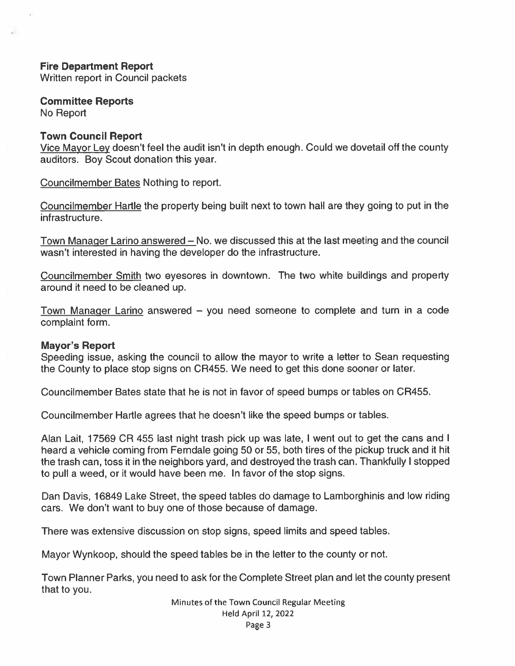# Fire Department Report

Written repor<sup>t</sup> in Council packets

Committee Reports No Report

#### Town Council Report

Vice Mayor Ley doesn't feel the audit isn't in depth enough. Could we dovetail off the county auditors. Boy Scout donation this year.

Councilmember Bates Nothing to report.

Councilmember Hartle the property being built next to town hail are they going to pu<sup>t</sup> in the infrastructure.

Town Manager Larino answered — No. we discussed this at the last meeting and the council wasn't interested in having the developer do the infrastructure.

Councilmember Smith two eyesores in downtown. The two white buildings and property around it need to be cleaned up.

Town Manager Larino answered — you need someone to complete and turn in <sup>a</sup> code complaint form.

#### Mayor's Report

Speeding issue, asking the council to allow the mayor to write <sup>a</sup> letter to Sean requesting the County to place stop signs on CR455. We need to ge<sup>t</sup> this done sooner or later.

Councilmember Bates state that he is not in favor of speed bumps or tables on CR455.

Councilmember Hartle agrees that he doesn't like the speed bumps or tables.

Alan Lait, 17569 CR 455 last night trash pick up was late, I went out to get the cans and I heard <sup>a</sup> vehicle coming from Ferndale going 50 or 55, both tires of the pickup truck and it hit the trash can, toss it in the neighbors yard, and destroyed the trash can. Thankfully <sup>I</sup> stopped to pull <sup>a</sup> weed, or it would have been me. In favor of the stop signs.

Dan Davis, 16849 Lake Street, the speed tables do damage to Lamborghinis and low riding cars. We don't want to buy one of those because of damage.

There was extensive discussion on stop signs, speed limits and speed tables.

Mayor Wynkoop, should the speed tables be in the letter to the county or not.

Town Planner Parks, you need to ask for the Complete Street plan and let the county presen<sup>t</sup> that to you.

> Minutes of the Town Council Regular Meeting Held April 12, 2022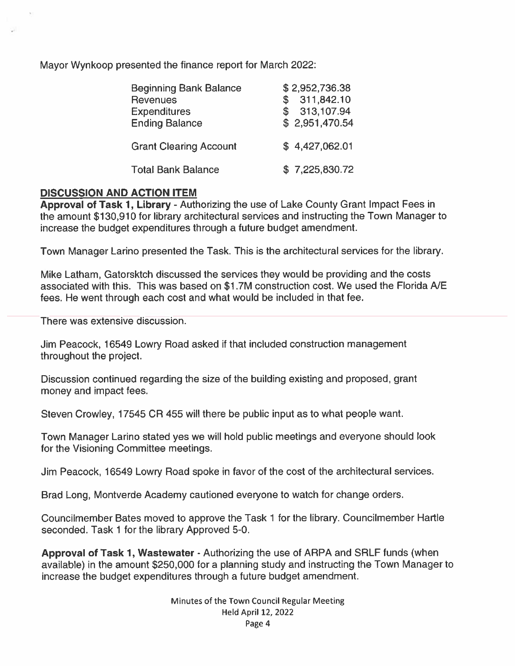Mayor Wynkoop presented the finance repor<sup>t</sup> for March 2022:

| <b>Beginning Bank Balance</b><br><b>Revenues</b><br><b>Expenditures</b><br><b>Ending Balance</b> | \$2,952,736.38<br>311,842.10<br>S.<br>\$313,107.94<br>\$2,951,470.54 |
|--------------------------------------------------------------------------------------------------|----------------------------------------------------------------------|
| <b>Grant Clearing Account</b>                                                                    | \$4,427,062.01                                                       |
| <b>Total Bank Balance</b>                                                                        | \$7,225,830.72                                                       |

# DISCUSSION AND ACTION ITEM

Approval of Task 1, Library - Authorizing the use of Lake County Grant Impact Fees in the amount \$130,910 for library architectural services and instructing the Town Manager to increase the budget expenditures through <sup>a</sup> future budget amendment.

Town Manager Larino presented the Task. This is the architectural services for the library.

Mike Latham, Gatorsktch discussed the services they would be providing and the costs associated with this. This was based on \$1 .7M construction cost. We used the Florida AlE fees. He went through each cost and what would be included in that fee.

There was extensive discussion.

Jim Peacock, 16549 Lowry Road asked it that included construction managemen<sup>t</sup> throughout the project.

Discussion continued regarding the size of the building existing and proposed, gran<sup>t</sup> money and impact fees.

Steven Crowley, 17545 CR 455 will there be public input as to what people want.

Town Manager Larino stated yes we will hold public meetings and everyone should look for the Visioning Committee meetings.

Jim Peacock, 16549 Lowry Road spoke in favor of the cost of the architectural services.

Brad Long, Montverde Academy cautioned everyone to watch for change orders.

Councilmember Bates moved to approve the Task 1 for the library. Councilmember Hartle seconded. Task 1 for the library Approved 5-0.

Approval of Task 1, Wastewater - Authorizing the use of ARPA and SRLF funds (when available) in the amount \$250,000 for <sup>a</sup> planning study and instructing the Town Manager to increase the budget expenditures through <sup>a</sup> future budget amendment.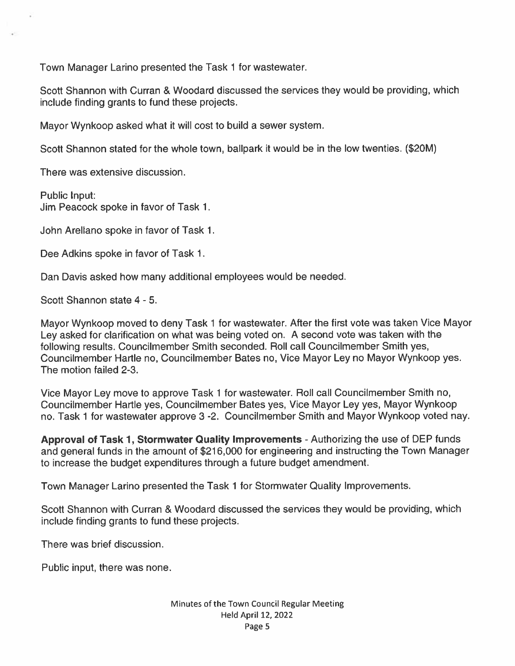Town Manager Larino presented the Task 1 for wastewater.

Scott Shannon with Curran & Woodard discussed the services they would be providing, which include finding grants to fund these projects.

Mayor Wynkoop asked what it will cost to build <sup>a</sup> sewer system.

Scott Shannon stated for the whole town, ballpark it would be in the low twenties. (\$20M)

There was extensive discussion.

Public Input: Jim Peacock spoke in favor of Task 1.

John Arellano spoke in favor of Task 1.

Dee Adkins spoke in favor of Task 1.

Dan Davis asked how many additional employees would be needed.

Scott Shannon state 4 - 5.

Mayor Wynkoop moved to deny Task <sup>1</sup> for wastewater. After the first vote was taken Vice Mayor Ley asked for clarification on what was being voted on. <sup>A</sup> second vote was taken with the following results. Councilmember Smith seconded. Roll call Councilmember Smith yes, Councilmember Hartle no, Councilmember Bates no, Vice Mayor Ley no Mayor Wynkoop yes. The motion failed 2-3.

Vice Mayor Ley move to approve Task <sup>1</sup> for wastewater. Roll call Councilmember Smith no, Councilmember Hartle yes, Councilmember Bates yes, Vice Mayor Ley yes, Mayor Wynkoop no. Task 1 for wastewater approve 3 -2. Councilmember Smith and Mayor Wynkoop voted nay.

Approval of Task 1, Stormwater Quality Improvements - Authorizing the use of DEP funds and general funds in the amount of \$216,000 for engineering and instructing the Town Manager to increase the budget expenditures through <sup>a</sup> future budget amendment.

Town Manager Larino presented the Task 1 for Stormwater Quality Improvements.

Scott Shannon with Curran & Woodard discussed the services they would be providing, which include finding grants to fund these projects.

There was brief discussion.

Public input, there was none.

#### Minutes of the Town Council Regular Meeting Held April 12, 2022 Page 5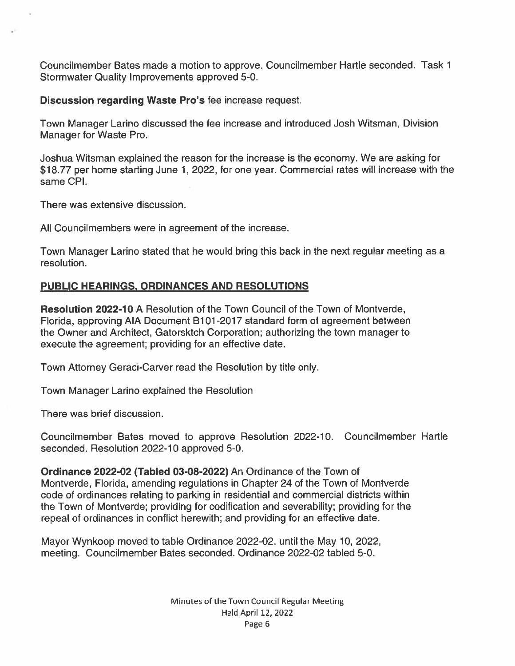Councilmember Bates made <sup>a</sup> motion to approve. Councilmember Hartle seconded. Task 1 Stormwater Quality Improvements approved 5-0.

Discussion regarding Waste Pro's fee increase request.

Town Manager Larino discussed the fee increase and introduced Josh Witsman, Division Manager for Waste Pro.

Joshua Witsman explained the reason for the increase is the economy. We are asking for \$18.77 per home starting June 1, 2022, for one year. Commercial rates will increase with the same CPI.

There was extensive discussion.

All Councilmembers were in agreemen<sup>t</sup> of the increase.

Town Manager Larino stated that he would bring this back in the next regular meeting as <sup>a</sup> resolution.

# PUBLIC HEARINGS, ORDINANCES AND RESOLUTIONS

Resolution 2022-10 A Resolution of the Town Council of the Town of Montverde, Florida, approving AIA Document B101-2017 standard form of agreement between the Owner and Architect, Gatorsktch Corporation; authorizing the town manager to execute the agreement; providing for an effective date.

Town Attorney Geraci-Carver read the Resolution by title only.

Town Manager Larino explained the Resolution

There was brief discussion.

Councilmember Bates moved to approve Resolution 2022-10. Councilmember Hartle seconded. Resolution 2022-10 approved 5-0.

Ordinance 2022-02 (Tabled 03-08-2022) An Ordinance of the Town of Montverde, Florida, amending regulations in Chapter 24 of the Town of Montverde code of ordinances relating to parking in residential and commercial districts within the Town of Montverde; providing for codification and severability; providing for the repeal of ordinances in conflict herewith; and providing for an effective date.

Mayor Wynkoop moved to table Ordinance 2022-02. until the May 10, 2022, meeting. Councilmember Bates seconded. Ordinance 2022-02 tabled 5-0.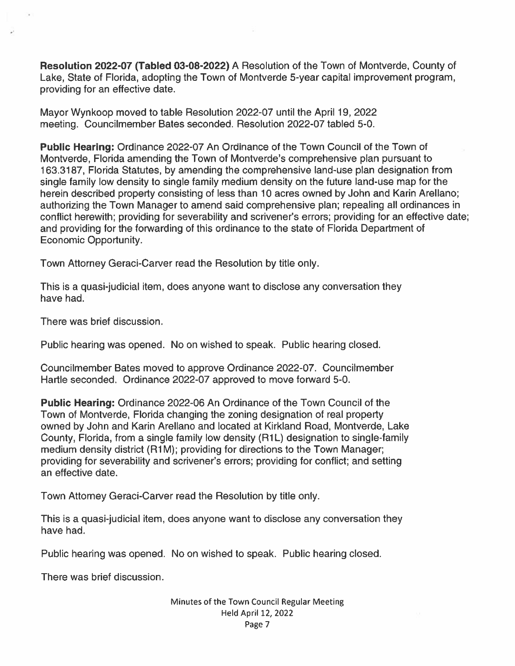Resolution 2022-07 (Tabled 03-08-2022) A Resolution of the Town of Montverde, County of Lake, State of Florida, adopting the Town of Montverde 5-year capital improvement program, providing for an effective date.

Mayor Wynkoop moved to table Resolution 2022-07 until the April 19, 2022 meeting. Councilmember Bates seconded. Resolution 2022-07 tabled 5-0.

Public Hearing: Ordinance 2022-07 An Ordinance of the Town Council of the Town of Montverde, Florida amending the Town of Montverde's comprehensive plan pursuan<sup>t</sup> to 163.3187, Florida Statutes, by amending the comprehensive land-use plan designation from single family low density to single family medium density on the future land-use map for the herein described property consisting of less than 10 acres owned by John and Karin Arellano; authorizing the Town Manager to amend said comprehensive plan; repealing all ordinances in conflict herewith; providing for severability and scrivener's errors; providing for an effective date; and providing for the forwarding of this ordinance to the state of Florida Department of Economic Opportunity.

Town Attorney Geraci-Carver read the Resolution by title only.

This is <sup>a</sup> quasi-judicial item, does anyone want to disclose any conversation they have had.

There was brief discussion.

Public hearing was opened. No on wished to speak. Public hearing closed.

Councilmember Bates moved to approve Ordinance 2022-07. Councilmember Hartle seconded. Ordinance 2022-07 approved to move forward 5-0.

Public Hearing: Ordinance 2022-06 An Ordinance of the Town Council of the Town of Montverde. Florida changing the zoning designation of real property owned by John and Karin Arellano and located at Kirkland Road, Montverde, Lake County, Florida, from a single family low density (R1L) designation to single-family medium density district (R1M); providing for directions to the Town Manager; providing for severability and scrivener's errors; providing for conflict; and setting an effective date.

Town Attorney Geraci-Carver read the Resolution by title only.

This is <sup>a</sup> quasi-judicial item, does anyone want to disclose any conversation they have had.

Public hearing was opened. No on wished to speak. Public hearing closed.

There was brief discussion.